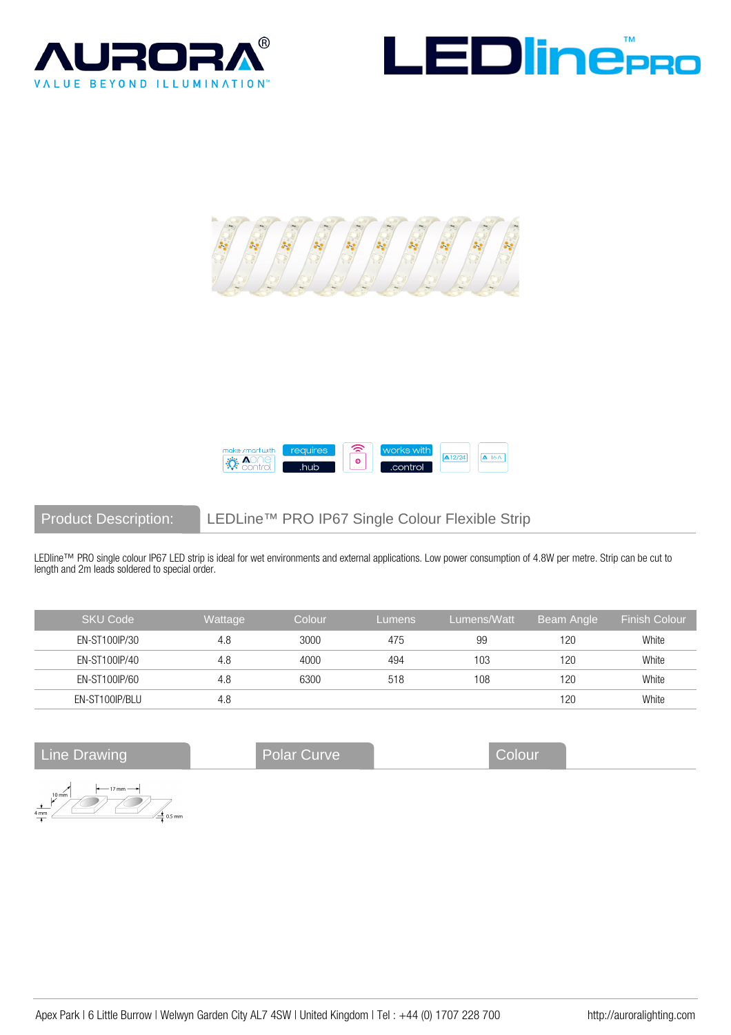







Product Description: LEDLine™ PRO IP67 Single Colour Flexible Strip

LEDline™ PRO single colour IP67 LED strip is ideal for wet environments and external applications. Low power consumption of 4.8W per metre. Strip can be cut to length and 2m leads soldered to special order.

| <b>SKU Code</b> | Wattage | Colour | Lumens | Lumens/Watt | Beam Angle | Finish Colour |
|-----------------|---------|--------|--------|-------------|------------|---------------|
| EN-ST100IP/30   | 4.8     | 3000   | 475    | 99          | 120        | White         |
| EN-ST100IP/40   | 4.8     | 4000   | 494    | 103         | 120        | White         |
| EN-ST100IP/60   | 4.8     | 6300   | 518    | 108         | 120        | White         |
| EN-ST100IP/BLU  | 4.8     |        |        |             | 120        | White         |

Line Drawing **Colour** Polar Curve Colour